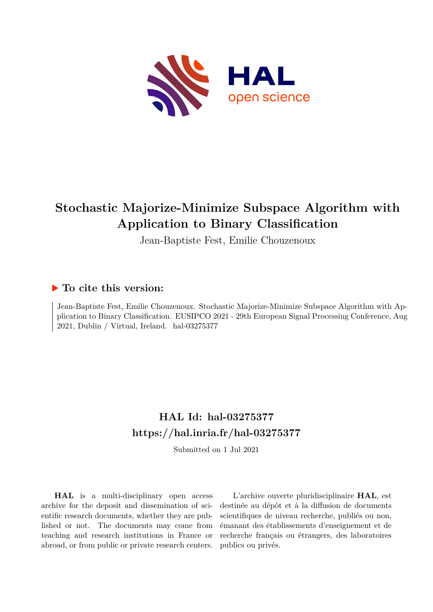

## **Stochastic Majorize-Minimize Subspace Algorithm with Application to Binary Classification**

Jean-Baptiste Fest, Emilie Chouzenoux

### **To cite this version:**

Jean-Baptiste Fest, Emilie Chouzenoux. Stochastic Majorize-Minimize Subspace Algorithm with Application to Binary Classification. EUSIPCO 2021 - 29th European Signal Processing Conference, Aug  $2021$ , Dublin / Virtual, Ireland. hal-03275377

## **HAL Id: hal-03275377 <https://hal.inria.fr/hal-03275377>**

Submitted on 1 Jul 2021

**HAL** is a multi-disciplinary open access archive for the deposit and dissemination of scientific research documents, whether they are published or not. The documents may come from teaching and research institutions in France or abroad, or from public or private research centers.

L'archive ouverte pluridisciplinaire **HAL**, est destinée au dépôt et à la diffusion de documents scientifiques de niveau recherche, publiés ou non, émanant des établissements d'enseignement et de recherche français ou étrangers, des laboratoires publics ou privés.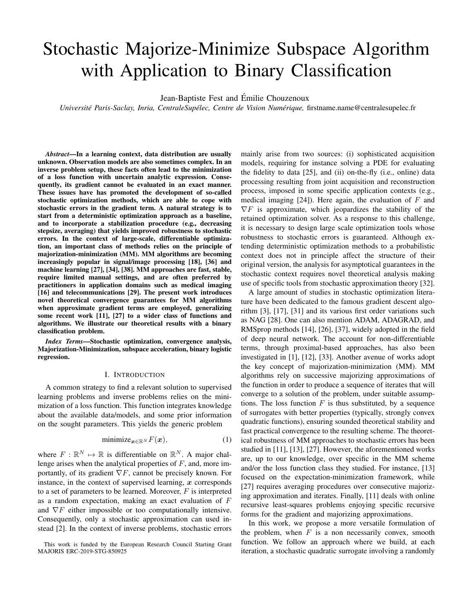# Stochastic Majorize-Minimize Subspace Algorithm with Application to Binary Classification

Jean-Baptiste Fest and Emilie Chouzenoux ´

*Université Paris-Saclay, Inria, CentraleSupélec, Centre de Vision Numérique, firstname.name@centralesupelec.fr* 

*Abstract*—In a learning context, data distribution are usually unknown. Observation models are also sometimes complex. In an inverse problem setup, these facts often lead to the minimization of a loss function with uncertain analytic expression. Consequently, its gradient cannot be evaluated in an exact manner. These issues have has promoted the development of so-called stochastic optimization methods, which are able to cope with stochastic errors in the gradient term. A natural strategy is to start from a deterministic optimization approach as a baseline, and to incorporate a stabilization procedure (e.g., decreasing stepsize, averaging) that yields improved robustness to stochastic errors. In the context of large-scale, differentiable optimization, an important class of methods relies on the principle of majorization-minimization (MM). MM algorithms are becoming increasingly popular in signal/image processing [18], [36] and machine learning [27], [34], [38]. MM approaches are fast, stable, require limited manual settings, and are often preferred by practitioners in application domains such as medical imaging [16] and telecommunications [29]. The present work introduces novel theoretical convergence guarantees for MM algorithms when approximate gradient terms are employed, generalizing some recent work [11], [27] to a wider class of functions and algorithms. We illustrate our theoretical results with a binary classification problem.

*Index Terms*—Stochastic optimization, convergence analysis, Majorization-Minimization, subspace acceleration, binary logistic regression.

#### I. INTRODUCTION

A common strategy to find a relevant solution to supervised learning problems and inverse problems relies on the minimization of a loss function. This function integrates knowledge about the available data/models, and some prior information on the sought parameters. This yields the generic problem

$$
\text{minimize}_{\mathbf{x} \in \mathbb{R}^N} F(\mathbf{x}),\tag{1}
$$

where  $F: \mathbb{R}^N \mapsto \mathbb{R}$  is differentiable on  $\mathbb{R}^N$ . A major challenge arises when the analytical properties of  $F$ , and, more importantly, of its gradient  $\nabla F$ , cannot be precisely known. For instance, in the context of supervised learning,  $x$  corresponds to a set of parameters to be learned. Moreover,  $F$  is interpreted as a random expectation, making an exact evaluation of F and  $\nabla F$  either impossible or too computationally intensive. Consequently, only a stochastic approximation can used instead [2]. In the context of inverse problems, stochastic errors mainly arise from two sources: (i) sophisticated acquisition models, requiring for instance solving a PDE for evaluating the fidelity to data [25], and (ii) on-the-fly (i.e., online) data processing resulting from joint acquisition and reconstruction process, imposed in some specific application contexts (e.g., medical imaging  $[24]$ ). Here again, the evaluation of F and  $\nabla F$  is approximate, which jeopardizes the stability of the retained optimization solver. As a response to this challenge, it is necessary to design large scale optimization tools whose robustness to stochastic errors is guaranteed. Although extending deterministic optimization methods to a probabilistic context does not in principle affect the structure of their original version, the analysis for asymptotical guarantees in the stochastic context requires novel theoretical analysis making use of specific tools from stochastic approximation theory [32].

A large amount of studies in stochastic optimization literature have been dedicated to the famous gradient descent algorithm [3], [17], [31] and its various first order variations such as NAG [28]. One can also mention ADAM, ADAGRAD, and RMSprop methods [14], [26], [37], widely adopted in the field of deep neural network. The account for non-differentiable terms, through proximal-based approaches, has also been investigated in [1], [12], [33]. Another avenue of works adopt the key concept of majorization-minimization (MM). MM algorithms rely on successive majorizing approximations of the function in order to produce a sequence of iterates that will converge to a solution of the problem, under suitable assumptions. The loss function  $F$  is thus substituted, by a sequence of surrogates with better properties (typically, strongly convex quadratic functions), ensuring sounded theoretical stability and fast practical convergence to the resulting scheme. The theoretical robustness of MM approaches to stochastic errors has been studied in [11], [13], [27]. However, the aforementioned works are, up to our knowledge, over specific in the MM scheme and/or the loss function class they studied. For instance, [13] focused on the expectation-minimization framework, while [27] requires averaging procedures over consecutive majorizing approximation and iterates. Finally, [11] deals with online recursive least-squares problems enjoying specific recursive forms for the gradient and majorizing approximations.

In this work, we propose a more versatile formulation of the problem, when  $F$  is a non necessarily convex, smooth function. We follow an approach where we build, at each iteration, a stochastic quadratic surrogate involving a randomly

This work is funded by the European Research Council Starting Grant MAJORIS ERC-2019-STG-850925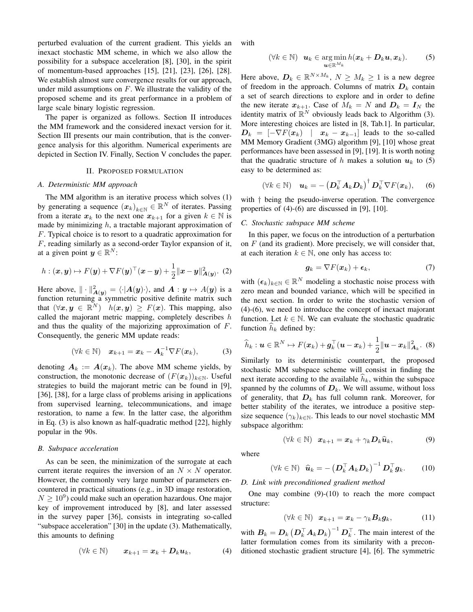perturbed evaluation of the current gradient. This yields an inexact stochastic MM scheme, in which we also allow the possibility for a subspace acceleration [8], [30], in the spirit of momentum-based approaches [15], [21], [23], [26], [28]. We establish almost sure convergence results for our approach, under mild assumptions on  $F$ . We illustrate the validity of the proposed scheme and its great performance in a problem of large scale binary logistic regression.

The paper is organized as follows. Section II introduces the MM framework and the considered inexact version for it. Section III presents our main contribution, that is the convergence analysis for this algorithm. Numerical experiments are depicted in Section IV. Finally, Section V concludes the paper.

#### II. PROPOSED FORMULATION

#### *A. Deterministic MM approach*

The MM algorithm is an iterative process which solves (1) by generating a sequence  $(x_k)_{k \in \mathbb{N}} \in \mathbb{R}^N$  of iterates. Passing from a iterate  $x_k$  to the next one  $x_{k+1}$  for a given  $k \in \mathbb{N}$  is made by minimizing  $h$ , a tractable majorant approximation of F. Typical choice is to resort to a quadratic approximation for F, reading similarly as a second-order Taylor expansion of it, at a given point  $y \in \mathbb{R}^N$ :

$$
h: (\boldsymbol{x}, \boldsymbol{y}) \mapsto F(\boldsymbol{y}) + \nabla F(\boldsymbol{y})^\top (\boldsymbol{x} - \boldsymbol{y}) + \frac{1}{2} ||\boldsymbol{x} - \boldsymbol{y}||_{\boldsymbol{A}(\boldsymbol{y})}^2.
$$
 (2)

Here above,  $\|\cdot\|_{A(y)}^2 = \langle \cdot | A(y) \cdot \rangle$ , and  $A: y \mapsto A(y)$  is a function returning a symmetric positive definite matrix such that  $(\forall x, y \in \mathbb{R}^N)$   $h(x, y) \geq F(x)$ . This mapping, also called the majorant metric mapping, completely describes  $h$ and thus the quality of the majorizing approximation of F. Consequently, the generic MM update reads:

$$
(\forall k \in \mathbb{N}) \quad \boldsymbol{x}_{k+1} = \boldsymbol{x}_k - \boldsymbol{A}_k^{-1} \nabla F(\boldsymbol{x}_k), \tag{3}
$$

denoting  $A_k := A(x_k)$ . The above MM scheme yields, by construction, the monotonic decrease of  $(F(\boldsymbol{x}_k))_{k\in\mathbb{N}}$ . Useful strategies to build the majorant metric can be found in [9], [36], [38], for a large class of problems arising in applications from supervised learning, telecommunications, and image restoration, to name a few. In the latter case, the algorithm in Eq. (3) is also known as half-quadratic method [22], highly popular in the 90s.

#### *B. Subspace acceleration*

As can be seen, the minimization of the surrogate at each current iterate requires the inversion of an  $N \times N$  operator. However, the commonly very large number of parameters encountered in practical situations (e.g., in 3D image restoration,  $N \geq 10^9$ ) could make such an operation hazardous. One major key of improvement introduced by [8], and later assessed in the survey paper [36], consists in integrating so-called "subspace acceleration" [30] in the update (3). Mathematically, this amounts to defining

$$
(\forall k \in \mathbb{N}) \qquad x_{k+1} = x_k + D_k u_k, \tag{4}
$$

with

$$
(\forall k \in \mathbb{N}) \quad \mathbf{u}_k \in \argmin_{\mathbf{u} \in \mathbb{R}^{M_k}} h(\mathbf{x}_k + \mathbf{D}_k \mathbf{u}, \mathbf{x}_k). \tag{5}
$$

Here above,  $D_k \in \mathbb{R}^{N \times M_k}$ ,  $N \ge M_k \ge 1$  is a new degree of freedom in the approach. Columns of matrix  $D_k$  contain a set of search directions to explore and in order to define the new iterate  $x_{k+1}$ . Case of  $M_k = N$  and  $D_k = I_N$  the identity matrix of  $\mathbb{R}^N$  obviously leads back to Algorithm (3). More interesting choices are listed in [8, Tab.1]. In particular,  $D_k = \begin{bmatrix} -\nabla F(\boldsymbol{x}_k) & | & \boldsymbol{x}_k - \boldsymbol{x}_{k-1} \end{bmatrix}$  leads to the so-called MM Memory Gradient (3MG) algorithm [9], [10] whose great performances have been assessed in [9], [19]. It is worth noting that the quadratic structure of h makes a solution  $u_k$  to (5) easy to be determined as:

$$
(\forall k \in \mathbb{N}) \quad \boldsymbol{u}_k = -\left(\boldsymbol{D}_k^\top \boldsymbol{A}_k \boldsymbol{D}_k\right)^\dagger \boldsymbol{D}_k^\top \nabla F(\boldsymbol{x}_k), \qquad (6)
$$

with † being the pseudo-inverse operation. The convergence properties of (4)-(6) are discussed in [9], [10].

#### *C. Stochastic subspace MM scheme*

In this paper, we focus on the introduction of a perturbation on  $F$  (and its gradient). More precisely, we will consider that, at each iteration  $k \in \mathbb{N}$ , one only has access to:

$$
\mathbf{g}_k = \nabla F(\mathbf{x}_k) + \boldsymbol{\epsilon}_k,\tag{7}
$$

with  $(\epsilon_k)_{k \in \mathbb{N}} \in \mathbb{R}^N$  modeling a stochastic noise process with zero mean and bounded variance, which will be specified in the next section. In order to write the stochastic version of (4)-(6), we need to introduce the concept of inexact majorant function. Let  $k \in \mathbb{N}$ . We can evaluate the stochastic quadratic function  $\hat{h}_k$  defined by:

$$
\widehat{h}_k: \boldsymbol{u} \in \mathbb{R}^N \mapsto F(\boldsymbol{x}_k) + \boldsymbol{g}_k^\top(\boldsymbol{u} - \boldsymbol{x}_k) + \frac{1}{2} ||\boldsymbol{u} - \boldsymbol{x}_k||_{\boldsymbol{A}_k}^2. \tag{8}
$$

Similarly to its deterministic counterpart, the proposed stochastic MM subspace scheme will consist in finding the next iterate according to the available  $h_k$ , within the subspace spanned by the columns of  $D_k$ . We will assume, without loss of generality, that  $D_k$  has full column rank. Moreover, for better stability of the iterates, we introduce a positive stepsize sequence  $(\gamma_k)_{k \in \mathbb{N}}$ . This leads to our novel stochastic MM subspace algorithm:

$$
(\forall k \in \mathbb{N}) \quad \mathbf{x}_{k+1} = \mathbf{x}_k + \gamma_k \mathbf{D}_k \widehat{\mathbf{u}}_k, \tag{9}
$$

where

$$
(\forall k \in \mathbb{N}) \quad \widehat{\boldsymbol{u}}_k = -\left(\boldsymbol{D}_k^\top \boldsymbol{A}_k \boldsymbol{D}_k\right)^{-1} \boldsymbol{D}_k^\top \boldsymbol{g}_k. \tag{10}
$$

#### *D. Link with preconditioned gradient method*

One may combine (9)-(10) to reach the more compact structure:

$$
(\forall k \in \mathbb{N}) \quad \mathbf{x}_{k+1} = \mathbf{x}_k - \gamma_k \mathbf{B}_k \mathbf{g}_k, \tag{11}
$$

with  $B_k = D_k \left( D_k^{\top} A_k D_k \right)^{-1} D_k^{\top}$ . The main interest of the latter formulation comes from its similarity with a preconditioned stochastic gradient structure [4], [6]. The symmetric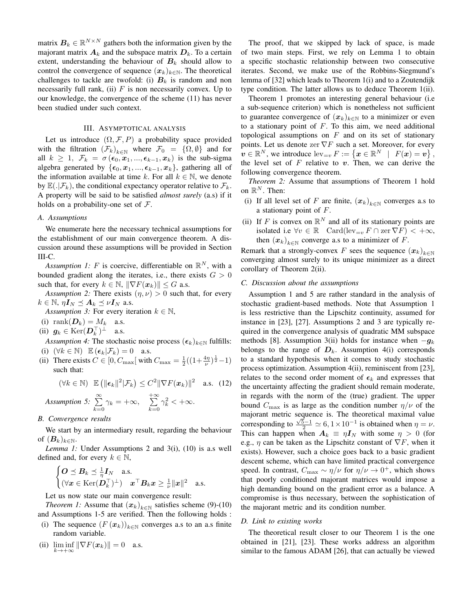matrix  $B_k \in \mathbb{R}^{N \times N}$  gathers both the information given by the majorant matrix  $A_k$  and the subspace matrix  $D_k$ . To a certain extent, understanding the behaviour of  $B_k$  should allow to control the convergence of sequence  $(x_k)_{k\in\mathbb{N}}$ . The theoretical challenges to tackle are twofold: (i)  $B_k$  is random and non necessarily full rank, (ii)  $F$  is non necessarily convex. Up to our knowledge, the convergence of the scheme (11) has never been studied under such context.

#### III. ASYMPTOTICAL ANALYSIS

Let us introduce  $(\Omega, \mathcal{F}, P)$  a probability space provided with the filtration  $(\mathcal{F}_k)_{k\in\mathbb{N}}$  where  $\mathcal{F}_0 = {\Omega, \emptyset}$  and for all  $k \geq 1$ ,  $\mathcal{F}_k = \sigma(\epsilon_0, x_1, ..., \epsilon_{k-1}, x_k)$  is the sub-sigma algebra generated by  $\{\epsilon_0, x_1, ..., \epsilon_{k-1}, x_k\}$ , gathering all of the information available at time k. For all  $k \in \mathbb{N}$ , we denote by  $\mathbb{E}(.|\mathcal{F}_k)$ , the conditional expectancy operator relative to  $\mathcal{F}_k$ . A property will be said to be satisfied *almost surely* (a.s) if it holds on a probability-one set of  $\mathcal{F}$ .

#### *A. Assumptions*

We enumerate here the necessary technical assumptions for the establishment of our main convergence theorem. A discussion around these assumptions will be provided in Section III-C.

*Assumption 1:* F is coercive, differentiable on  $\mathbb{R}^N$ , with a bounded gradient along the iterates, i.e., there exists  $G > 0$ such that, for every  $k \in \mathbb{N}$ ,  $\|\nabla F(\boldsymbol{x}_k)\| \leq G$  a.s.

*Assumption 2:* There exists  $(\eta, \nu) > 0$  such that, for every  $k \in \mathbb{N}, \eta I_N \preceq A_k \preceq \nu I_N$  a.s.

*Assumption 3:* For every iteration  $k \in \mathbb{N}$ ,

- (i) rank $(D_k) = M_k$  a.s.
- (ii)  $g_k \in \text{Ker}(\mathcal{D}_k^{\top})^{\perp}$  a.s.

*Assumption 4:* The stochastic noise process  $(\epsilon_k)_{k \in \mathbb{N}}$  fulfills:

- (i)  $(\forall k \in \mathbb{N}) \mathbb{E} (\epsilon_k | \mathcal{F}_k) = 0$  a.s.
- (ii) There exists  $C \in [0, C_{\text{max}}[$  with  $C_{\text{max}} = \frac{1}{2}((1 + \frac{4\eta}{\nu})^{\frac{1}{2}} 1)$ such that:

$$
(\forall k \in \mathbb{N}) \mathbb{E} \left( \|\boldsymbol{\epsilon}_k\|^2 |\mathcal{F}_k \right) \leq C^2 \|\nabla F(\boldsymbol{x}_k)\|^2 \quad \text{a.s.} \quad (12)
$$

*Assumption 5:*  $\sum_{n=1}^{\infty}$  $\sum_{k=0}^{\infty} \gamma_k = +\infty, \quad \sum_{k=0}^{+\infty}$  $k=0$  $\gamma_k^2$  <  $+\infty$ .

#### *B. Convergence results*

We start by an intermediary result, regarding the behaviour of  $(B_k)_{k\in\mathbb{N}}$ .

*Lemma 1:* Under Assumptions 2 and 3(i), (10) is a.s well defined and, for every  $k \in \mathbb{N}$ ,

$$
\begin{cases}\n\boldsymbol{O} \preceq \boldsymbol{B}_k \preceq \frac{1}{\eta} \boldsymbol{I}_N \quad \text{a.s.} \\
(\forall \boldsymbol{x} \in \text{Ker}(\boldsymbol{D}_k^{\top})^{\perp}) \quad \boldsymbol{x}^{\top} \boldsymbol{B}_k \boldsymbol{x} \geq \frac{1}{\nu} ||\boldsymbol{x}||^2 \quad \text{a.s.}\n\end{cases}
$$

Let us now state our main convergence result:

*Theorem 1:* Assume that  $(x_k)_{k \in \mathbb{N}}$  satisfies scheme (9)-(10) and Assumptions 1-5 are verified. Then the following holds :

- (i) The sequence  $(F(\mathbf{x}_k))_{k \in \mathbb{N}}$  converges a.s to an a.s finite random variable.
- (ii)  $\liminf_{k \to +\infty} \|\nabla F(\boldsymbol{x}_k)\| = 0$  a.s.

The proof, that we skipped by lack of space, is made of two main steps. First, we rely on Lemma 1 to obtain a specific stochastic relationship between two consecutive iterates. Second, we make use of the Robbins-Siegmund's lemma of [32] which leads to Theorem 1(i) and to a Zoutendijk type condition. The latter allows us to deduce Theorem 1(ii).

Theorem 1 promotes an interesting general behaviour (i.e a sub-sequence criterion) which is nonetheless not sufficient to guarantee convergence of  $(x_k)_{k \in \mathbb{N}}$  to a minimizer or even to a stationary point of  $F$ . To this aim, we need additional topological assumptions on  $F$  and on its set of stationary points. Let us denote zer  $\nabla F$  such a set. Moreover, for every  $\mathbf{v} \in \mathbb{R}^N$ , we introduce  $\text{lev}_{=v} F := \{ \mathbf{x} \in \mathbb{R}^N \mid F(\mathbf{x}) = \mathbf{v} \},$ the level set of  $F$  relative to  $v$ . Then, we can derive the following convergence theorem.

*Theorem 2:* Assume that assumptions of Theorem 1 hold on  $\mathbb{R}^N$ . Then:

- (i) If all level set of F are finite,  $(x_k)_{k \in \mathbb{N}}$  converges a.s to a stationary point of F.
- (ii) If F is convex on  $\mathbb{R}^N$  and all of its stationary points are isolated i.e  $\forall v \in \mathbb{R}$   $\text{Card}(\text{lev}_{=v} F \cap \text{zer } \nabla F) < +\infty$ , then  $(x_k)_{k \in \mathbb{N}}$  converge a.s to a minimizer of F.

Remark that a strongly-convex F sees the sequence  $(x_k)_{k \in \mathbb{N}}$ converging almost surely to its unique minimizer as a direct corollary of Theorem 2(ii).

#### *C. Discussion about the assumptions*

Assumption 1 and 5 are rather standard in the analysis of stochastic gradient-based methods. Note that Assumption 1 is less restrictive than the Lipschitz continuity, assumed for instance in [23], [27]. Assumptions 2 and 3 are typically required in the convergence analysis of quadratic MM subspace methods [8]. Assumption 3(ii) holds for instance when  $-g_k$ belongs to the range of  $D_k$ . Assumption 4(i) corresponds to a standard hypothesis when it comes to study stochastic process optimization. Assumption 4(ii), reminiscent from [23], relates to the second order moment of  $\epsilon_k$  and expresses that the uncertainty affecting the gradient should remain moderate, in regards with the norm of the (true) gradient. The upper bound  $C_{\text{max}}$  is as large as the condition number  $\eta/\nu$  of the majorant metric sequence is. The theoretical maximal value corresponding to  $\frac{\sqrt{5}-1}{2} \simeq 6, 1 \times 10^{-1}$  is obtained when  $\eta = \nu$ . This can happen when  $A_k \equiv \eta I_N$  with some  $\eta > 0$  (for e.g.,  $\eta$  can be taken as the Lipschitz constant of  $\nabla F$ , when it exists). However, such a choice goes back to a basic gradient descent scheme, which can have limited practical convergence speed. In contrast,  $C_{\text{max}} \sim \eta/\nu$  for  $\eta/\nu \to 0^+$ , which shows that poorly conditioned majorant matrices would impose a high demanding bound on the gradient error as a balance. A compromise is thus necessary, between the sophistication of the majorant metric and its condition number.

#### *D. Link to existing works*

The theoretical result closer to our Theorem 1 is the one obtained in [21], [23]. These works address an algorithm similar to the famous ADAM [26], that can actually be viewed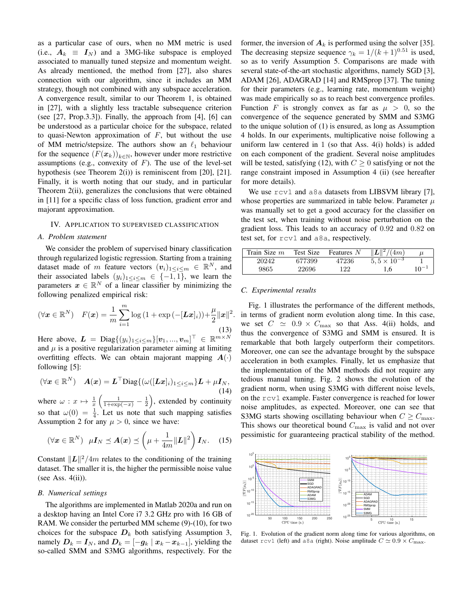as a particular case of ours, when no MM metric is used (i.e.,  $A_k \equiv I_N$ ) and a 3MG-like subspace is employed associated to manually tuned stepsize and momentum weight. As already mentioned, the method from [27], also shares connection with our algorithm, since it includes an MM strategy, though not combined with any subspace acceleration. A convergence result, similar to our Theorem 1, is obtained in [27], with a slightly less tractable subsequence criterion (see [27, Prop.3.3]). Finally, the approach from [4], [6] can be understood as a particular choice for the subspace, related to quasi-Newton approximation of  $F$ , but without the use of MM metric/stepsize. The authors show an  $\ell_1$  behaviour for the sequence  $(F(x_k))_{k \in \mathbb{N}}$ , however under more restrictive assumptions (e.g., convexity of  $F$ ). The use of the level-set hypothesis (see Theorem 2(i)) is reminiscent from [20], [21]. Finally, it is worth noting that our study, and in particular Theorem 2(ii), generalizes the conclusions that were obtained in [11] for a specific class of loss function, gradient error and majorant approximation.

#### IV. APPLICATION TO SUPERVISED CLASSIFICATION

#### *A. Problem statement*

We consider the problem of supervised binary classification through regularized logistic regression. Starting from a training dataset made of m feature vectors  $(v_i)_{1 \leq i \leq m} \in \mathbb{R}^N$ , and their associated labels  $(y_i)_{1 \leq i \leq m} \in \{-1, 1\}$ , we learn the parameters  $x \in \mathbb{R}^N$  of a linear classifier by minimizing the following penalized empirical risk:

$$
(\forall \boldsymbol{x} \in \mathbb{R}^N) \quad F(\boldsymbol{x}) = \frac{1}{m} \sum_{i=1}^m \log \left( 1 + \exp \left( -[\boldsymbol{L}\boldsymbol{x}]_i \right) \right) + \frac{\mu}{2} ||\boldsymbol{x}||^2.
$$
\n(13)

Here above,  $\boldsymbol{L} = \text{Diag}\{(y_i)_{1 \leq i \leq m}\}[\boldsymbol{v}_1, ..., \boldsymbol{v}_m]^\top \in \mathbb{R}^{m \times N}$ and  $\mu$  is a positive regularization parameter aiming at limiting overfitting effects. We can obtain majorant mapping  $A(\cdot)$ following [5]:

$$
(\forall x \in \mathbb{R}^N) \quad \mathbf{A}(x) = \mathbf{L}^\top \text{Diag}\{(\omega([Lx]_i)_{1 \leq i \leq m})\mathbf{L} + \mu \mathbf{I}_N, \tag{14}
$$

where  $\omega: x \mapsto \frac{1}{x} \left( \frac{1}{1+\exp(-x)} - \frac{1}{2} \right)$ , extended by continuity so that  $\omega(0) = \frac{1}{4}$ . Let us note that such mapping satisfies Assumption 2 for any  $\mu > 0$ , since we have:

$$
(\forall \boldsymbol{x} \in \mathbb{R}^N) \ \ \mu \boldsymbol{I}_N \preceq \boldsymbol{A}(\boldsymbol{x}) \preceq \left(\mu + \frac{1}{4m} ||\boldsymbol{L}||^2\right) \boldsymbol{I}_N. \tag{15}
$$

Constant  $\Vert L \Vert^2 / 4m$  relates to the conditioning of the training dataset. The smaller it is, the higher the permissible noise value (see Ass.  $4(ii)$ ).

#### *B. Numerical settings*

The algorithms are implemented in Matlab 2020a and run on a desktop having an Intel Core i7 3.2 GHz pro with 16 GB of RAM. We consider the perturbed MM scheme (9)-(10), for two choices for the subspace  $D_k$  both satisfying Assumption 3, namely  $D_k = I_N$ , and  $D_k = [-g_k \mid x_k - x_{k-1}]$ , yielding the so-called SMM and S3MG algorithms, respectively. For the former, the inversion of  $A_k$  is performed using the solver [35]. The decreasing stepsize sequence  $\gamma_k = 1/(k+1)^{0.51}$  is used, so as to verify Assumption 5. Comparisons are made with several state-of-the-art stochastic algorithms, namely SGD [3], ADAM [26], ADAGRAD [14] and RMSprop [37]. The tuning for their parameters (e.g., learning rate, momentum weight) was made empirically so as to reach best convergence profiles. Function F is strongly convex as far as  $\mu > 0$ , so the convergence of the sequence generated by SMM and S3MG to the unique solution of (1) is ensured, as long as Assumption 4 holds. In our experiments, multiplicative noise following a uniform law centered in 1 (so that Ass. 4(i) holds) is added on each component of the gradient. Several noise amplitudes will be tested, satisfying (12), with  $C \geq 0$  satisfying or not the range constraint imposed in Assumption 4 (ii) (see hereafter for more details).

We use  $rcv1$  and a8a datasets from LIBSVM library [7], whose properties are summarized in table below. Parameter  $\mu$ was manually set to get a good accuracy for the classifier on the test set, when training without noise perturbation on the gradient loss. This leads to an accuracy of 0.92 and 0.82 on test set, for rcv1 and a8a, respectively.

| Train Size $m$ | Test Size | Features N | (4m)                 |          |
|----------------|-----------|------------|----------------------|----------|
| 20242          | 677399    | 47236      | $5.5 \times 10^{-3}$ |          |
| 9865           | 22696     | 122        | 1.6                  | $10^{-}$ |

#### *C. Experimental results*

Fig. 1 illustrates the performance of the different methods, in terms of gradient norm evolution along time. In this case, we set  $C \simeq 0.9 \times C_{\text{max}}$  so that Ass. 4(ii) holds, and thus the convergence of S3MG and SMM is ensured. It is remarkable that both largely outperform their competitors. Moreover, one can see the advantage brought by the subspace acceleration in both examples. Finally, let us emphasize that the implementation of the MM methods did not require any tedious manual tuning. Fig. 2 shows the evolution of the gradient norm, when using S3MG with different noise levels, on the rcv1 example. Faster convergence is reached for lower noise amplitudes, as expected. Moreover, one can see that S3MG starts showing oscillating behaviour when  $C \geq C_{\text{max}}$ . This shows our theoretical bound  $C_{\text{max}}$  is valid and not over pessimistic for guaranteeing practical stability of the method.



Fig. 1. Evolution of the gradient norm along time for various algorithms, on dataset rcv1 (left) and a8a (right). Noise amplitude  $C \simeq 0.9 \times C_{\text{max}}$ .